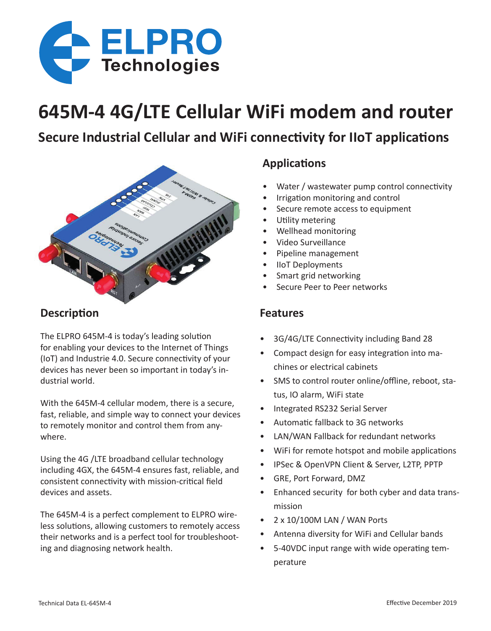

# **645M-4 4G/LTE Cellular WiFi modem and router**

# **Secure Industrial Cellular and WiFi connectivity for IIoT applications**



### **Description**

The ELPRO 645M-4 is today's leading solution for enabling your devices to the Internet of Things (IoT) and Industrie 4.0. Secure connectivity of your devices has never been so important in today's industrial world.

With the 645M-4 cellular modem, there is a secure, fast, reliable, and simple way to connect your devices to remotely monitor and control them from anywhere.

Using the 4G /LTE broadband cellular technology including 4GX, the 645M-4 ensures fast, reliable, and consistent connectivity with mission-critical field devices and assets.

The 645M-4 is a perfect complement to ELPRO wireless solutions, allowing customers to remotely access their networks and is a perfect tool for troubleshooting and diagnosing network health.

## **Applications**

- Water / wastewater pump control connectivity
- Irrigation monitoring and control
- Secure remote access to equipment
- Utility metering
- Wellhead monitoring
- Video Surveillance
- Pipeline management
- IIoT Deployments
- Smart grid networking
- Secure Peer to Peer networks

#### **Features**

- 3G/4G/LTE Connectivity including Band 28
- Compact design for easy integration into machines or electrical cabinets
- SMS to control router online/offline, reboot, status, IO alarm, WiFi state
- Integrated RS232 Serial Server
- Automatic fallback to 3G networks
- LAN/WAN Fallback for redundant networks
- WiFi for remote hotspot and mobile applications
- IPSec & OpenVPN Client & Server, L2TP, PPTP
- GRE, Port Forward, DMZ
- Enhanced security for both cyber and data transmission
- 2 x 10/100M LAN / WAN Ports
- Antenna diversity for WiFi and Cellular bands
- 5-40VDC input range with wide operating temperature